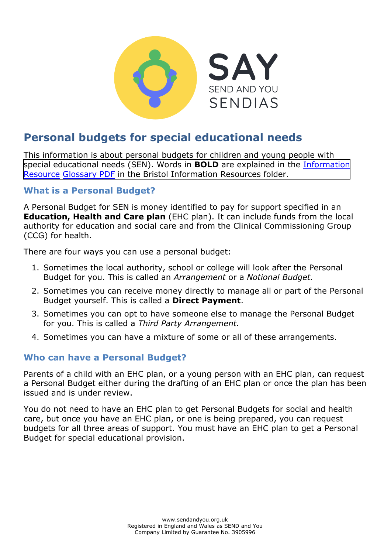

# **Personal budgets for special educational needs**

This information is about personal budgets for children and young people with special educational needs (SEN). Words in **BOLD** are explaine[d in the Information](https://www.supportiveparents.org.uk/wp-content/uploads/2020/02/Information-Resource-Glossary-REVISED2.pdf)  [Resource](https://www.supportiveparents.org.uk/wp-content/uploads/2020/02/Information-Resource-Glossary-REVISED2.pdf) Glossary PDF [in the Bristol Information Resources folder.](https://www.sendandyou.org.uk/wp-content/uploads/2021/08/Information-Resource-Glossary-REVISED2-new.pdf)

# **What is a Personal Budget?**

A Personal Budget for SEN is money identified to pay for support specified in an **Education, Health and Care plan** (EHC plan). It can include funds from the local authority for education and social care and from the Clinical Commissioning Group (CCG) for health.

There are four ways you can use a personal budget:

- 1. Sometimes the local authority, school or college will look after the Personal Budget for you. This is called an *Arrangement* or a *Notional Budget.*
- 2. Sometimes you can receive money directly to manage all or part of the Personal Budget yourself. This is called a **Direct Payment**.
- 3. Sometimes you can opt to have someone else to manage the Personal Budget for you. This is called a *Third Party Arrangement.*
- 4. Sometimes you can have a mixture of some or all of these arrangements.

# **Who can have a Personal Budget?**

Parents of a child with an EHC plan, or a young person with an EHC plan, can request a Personal Budget either during the drafting of an EHC plan or once the plan has been issued and is under review.

You do not need to have an EHC plan to get Personal Budgets for social and health care, but once you have an EHC plan, or one is being prepared, you can request budgets for all three areas of support. You must have an EHC plan to get a Personal Budget for special educational provision.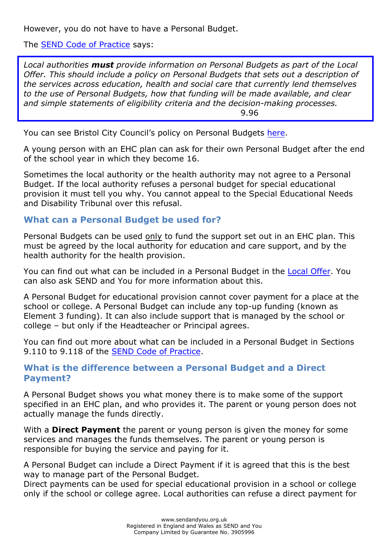However, you do not have to have a Personal Budget.

The **SEND Code of Practice** says:

*Local authorities must provide information on Personal Budgets as part of the Local Offer. This should include a policy on Personal Budgets that sets out a description of the services across education, health and social care that currently lend themselves to the use of Personal Budgets, how that funding will be made available, and clear and simple statements of eligibility criteria and the decision-making processes.*  9.96

You can see Bristol City Council's policy on Personal Budgets [here.](https://www.bristol.gov.uk/web/bristol-local-offer/personal-budgets)

A young person with an EHC plan can ask for their own Personal Budget after the end of the school year in which they become 16.

Sometimes the local authority or the health authority may not agree to a Personal Budget. If the local authority refuses a personal budget for special educational provision it must tell you why. You cannot appeal to the Special Educational Needs and Disability Tribunal over this refusal.

## **What can a Personal Budget be used for?**

Personal Budgets can be used only to fund the support set out in an EHC plan. This must be agreed by the local authority for education and care support, and by the health authority for the health provision.

You can find out what can be included in a Personal Budget in the [Local Offer.](https://www.bristol.gov.uk/web/bristol-local-offer) You can also ask SEND and You for more information about this.

A Personal Budget for educational provision cannot cover payment for a place at the school or college. A Personal Budget can include any top-up funding (known as Element 3 funding). It can also include support that is managed by the school or college – but only if the Headteacher or Principal agrees.

You can find out more about what can be included in a Personal Budget in Sections 9.110 to 9.118 of the [SEND Code of Practice.](https://www.gov.uk/government/publications/send-code-of-practice-0-to-25)

#### **What is the difference between a Personal Budget and a Direct Payment?**

A Personal Budget shows you what money there is to make some of the support specified in an EHC plan, and who provides it. The parent or young person does not actually manage the funds directly.

With a **Direct Payment** the parent or young person is given the money for some services and manages the funds themselves. The parent or young person is responsible for buying the service and paying for it.

A Personal Budget can include a Direct Payment if it is agreed that this is the best way to manage part of the Personal Budget.

Direct payments can be used for special educational provision in a school or college only if the school or college agree. Local authorities can refuse a direct payment for